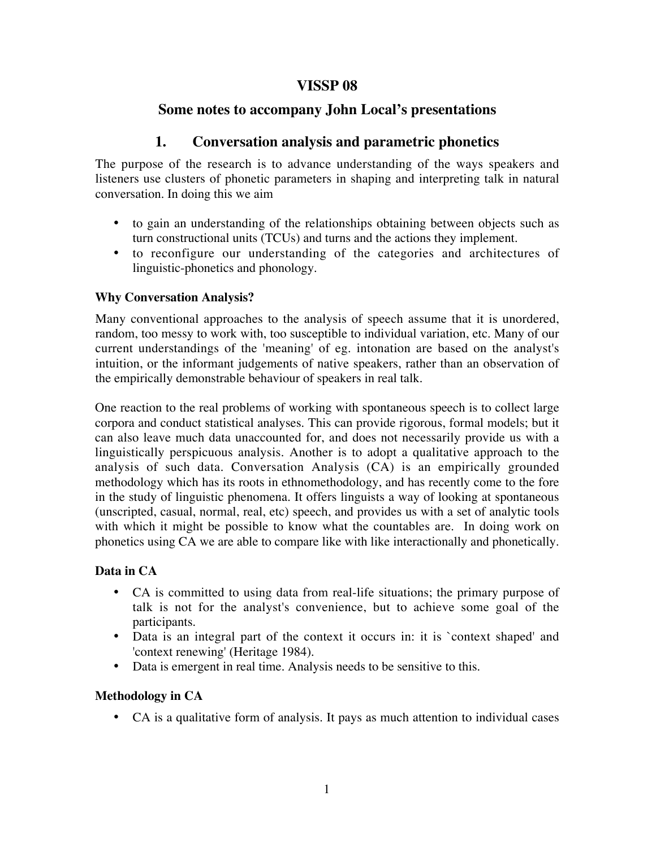# **VISSP 08**

# **Some notes to accompany John Local's presentations**

# **1. Conversation analysis and parametric phonetics**

The purpose of the research is to advance understanding of the ways speakers and listeners use clusters of phonetic parameters in shaping and interpreting talk in natural conversation. In doing this we aim

- to gain an understanding of the relationships obtaining between objects such as turn constructional units (TCUs) and turns and the actions they implement.
- to reconfigure our understanding of the categories and architectures of linguistic-phonetics and phonology.

## **Why Conversation Analysis?**

Many conventional approaches to the analysis of speech assume that it is unordered, random, too messy to work with, too susceptible to individual variation, etc. Many of our current understandings of the 'meaning' of eg. intonation are based on the analyst's intuition, or the informant judgements of native speakers, rather than an observation of the empirically demonstrable behaviour of speakers in real talk.

One reaction to the real problems of working with spontaneous speech is to collect large corpora and conduct statistical analyses. This can provide rigorous, formal models; but it can also leave much data unaccounted for, and does not necessarily provide us with a linguistically perspicuous analysis. Another is to adopt a qualitative approach to the analysis of such data. Conversation Analysis (CA) is an empirically grounded methodology which has its roots in ethnomethodology, and has recently come to the fore in the study of linguistic phenomena. It offers linguists a way of looking at spontaneous (unscripted, casual, normal, real, etc) speech, and provides us with a set of analytic tools with which it might be possible to know what the countables are. In doing work on phonetics using CA we are able to compare like with like interactionally and phonetically.

# **Data in CA**

- CA is committed to using data from real-life situations; the primary purpose of talk is not for the analyst's convenience, but to achieve some goal of the participants.
- Data is an integral part of the context it occurs in: it is `context shaped' and 'context renewing' (Heritage 1984).
- Data is emergent in real time. Analysis needs to be sensitive to this.

# **Methodology in CA**

• CA is a qualitative form of analysis. It pays as much attention to individual cases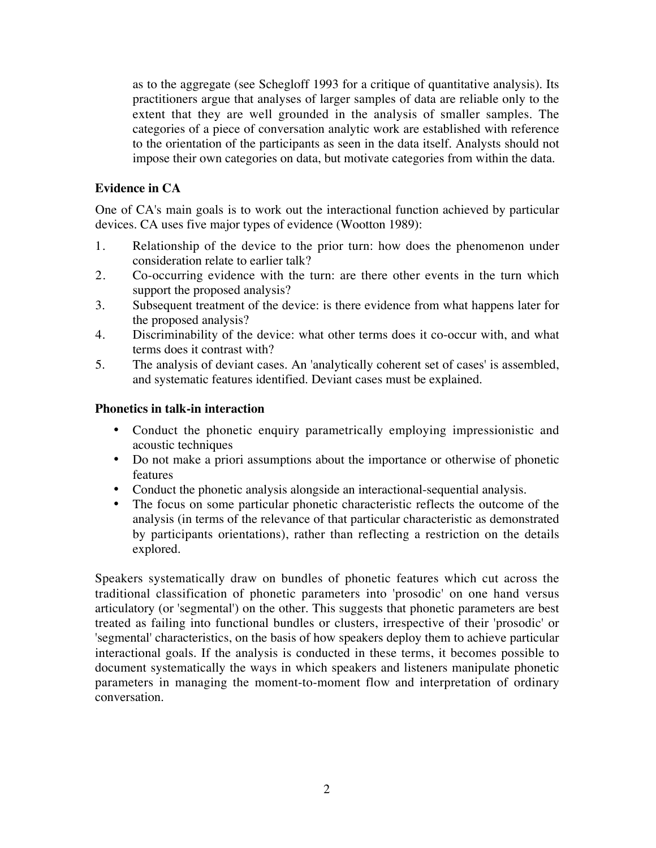as to the aggregate (see Schegloff 1993 for a critique of quantitative analysis). Its practitioners argue that analyses of larger samples of data are reliable only to the extent that they are well grounded in the analysis of smaller samples. The categories of a piece of conversation analytic work are established with reference to the orientation of the participants as seen in the data itself. Analysts should not impose their own categories on data, but motivate categories from within the data.

## **Evidence in CA**

One of CA's main goals is to work out the interactional function achieved by particular devices. CA uses five major types of evidence (Wootton 1989):

- 1. Relationship of the device to the prior turn: how does the phenomenon under consideration relate to earlier talk?
- 2. Co-occurring evidence with the turn: are there other events in the turn which support the proposed analysis?
- 3. Subsequent treatment of the device: is there evidence from what happens later for the proposed analysis?
- 4. Discriminability of the device: what other terms does it co-occur with, and what terms does it contrast with?
- 5. The analysis of deviant cases. An 'analytically coherent set of cases' is assembled, and systematic features identified. Deviant cases must be explained.

### **Phonetics in talk-in interaction**

- Conduct the phonetic enquiry parametrically employing impressionistic and acoustic techniques
- Do not make a priori assumptions about the importance or otherwise of phonetic features
- Conduct the phonetic analysis alongside an interactional-sequential analysis.
- The focus on some particular phonetic characteristic reflects the outcome of the analysis (in terms of the relevance of that particular characteristic as demonstrated by participants orientations), rather than reflecting a restriction on the details explored.

Speakers systematically draw on bundles of phonetic features which cut across the traditional classification of phonetic parameters into 'prosodic' on one hand versus articulatory (or 'segmental') on the other. This suggests that phonetic parameters are best treated as failing into functional bundles or clusters, irrespective of their 'prosodic' or 'segmental' characteristics, on the basis of how speakers deploy them to achieve particular interactional goals. If the analysis is conducted in these terms, it becomes possible to document systematically the ways in which speakers and listeners manipulate phonetic parameters in managing the moment-to-moment flow and interpretation of ordinary conversation.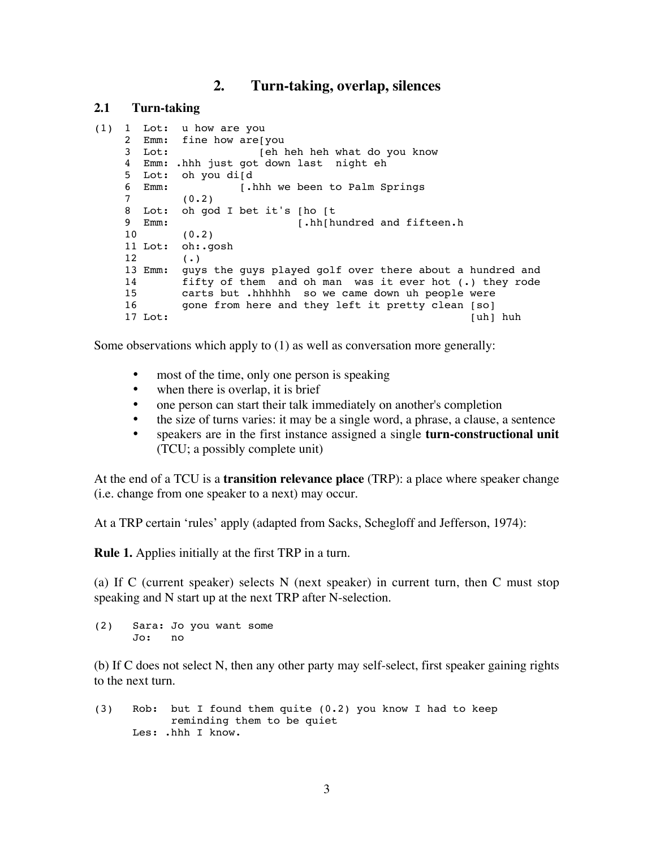### **2. Turn-taking, overlap, silences**

### **2.1 Turn-taking**

```
(1) 1 Lot: u how are you
2 Emm: fine how are[you<br>3 Lot: [eh ]
                   [eh heh heh what do you know
4 Emm: .hhh just got down last night eh
5 Lot: oh you di[d
6 Emm: [.hhh we been to Palm Springs
7 (0.2) 
8 Lot: oh god I bet it's [ho [t
9 Emm: [.hh[hundred and fifteen.h
10 (0.2)
11 Lot: oh:.gosh
12 (.)
13 Emm: guys the guys played golf over there about a hundred and
14 fifty of them and oh man was it ever hot (.) they rode
15 carts but .hhhhhh so we came down uh people were
16 gone from here and they left it pretty clean [so]<br>17 Lot: [uh]
                                                  [uh] huh
```
Some observations which apply to (1) as well as conversation more generally:

- most of the time, only one person is speaking
- when there is overlap, it is brief
- one person can start their talk immediately on another's completion
- the size of turns varies: it may be a single word, a phrase, a clause, a sentence
- speakers are in the first instance assigned a single **turn-constructional unit** (TCU; a possibly complete unit)

At the end of a TCU is a **transition relevance place** (TRP): a place where speaker change (i.e. change from one speaker to a next) may occur.

At a TRP certain 'rules' apply (adapted from Sacks, Schegloff and Jefferson, 1974):

**Rule 1.** Applies initially at the first TRP in a turn.

(a) If C (current speaker) selects N (next speaker) in current turn, then C must stop speaking and N start up at the next TRP after N-selection.

(2) Sara: Jo you want some Jo: no

(b) If C does not select N, then any other party may self-select, first speaker gaining rights to the next turn.

(3) Rob: but I found them quite (0.2) you know I had to keep reminding them to be quiet Les: .hhh I know.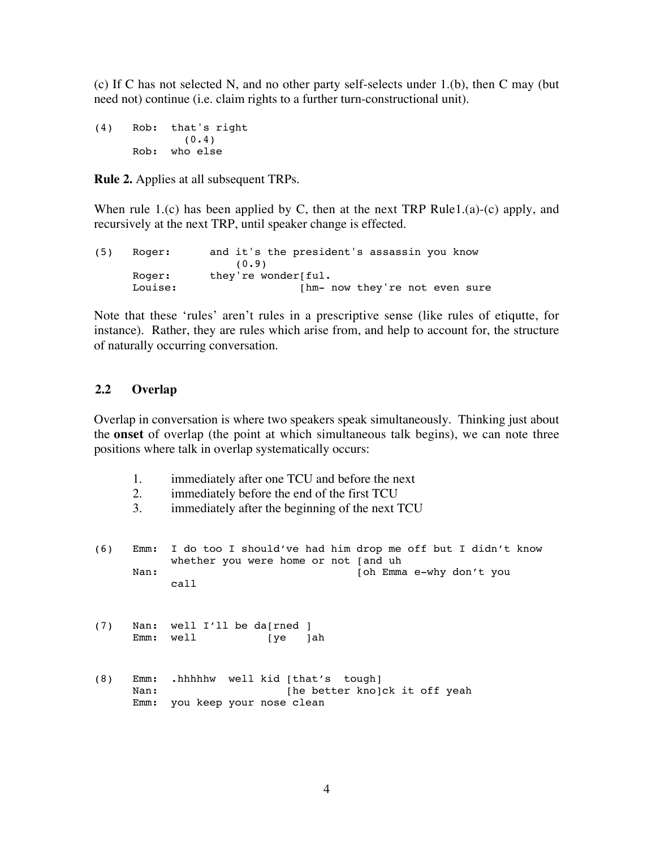(c) If C has not selected N, and no other party self-selects under 1.(b), then C may (but need not) continue (i.e. claim rights to a further turn-constructional unit).

(4) Rob: that's right  $(0.4)$ Rob: who else

**Rule 2.** Applies at all subsequent TRPs.

When rule 1.(c) has been applied by C, then at the next TRP Rule1.(a)-(c) apply, and recursively at the next TRP, until speaker change is effected.

```
(5) Roger: and it's the president's assassin you know
              (0.9)Roger: they're wonder[ful.
Louise: [hm- now they're not even sure
```
Note that these 'rules' aren't rules in a prescriptive sense (like rules of etiqutte, for instance). Rather, they are rules which arise from, and help to account for, the structure of naturally occurring conversation.

### **2.2 Overlap**

Overlap in conversation is where two speakers speak simultaneously. Thinking just about the **onset** of overlap (the point at which simultaneous talk begins), we can note three positions where talk in overlap systematically occurs:

- 1. immediately after one TCU and before the next
- 2. immediately before the end of the first TCU
- 3. immediately after the beginning of the next TCU
- (6) Emm: I do too I should've had him drop me off but I didn't know whether you were home or not [and uh Nan: [oh Emma e-why don't you call
- (7) Nan: well I'll be da[rned ] Emm: well [ye ]ah
- (8) Emm: .hhhhhw well kid [that's tough] Nan: [he better kno]ck it off yeah Emm: you keep your nose clean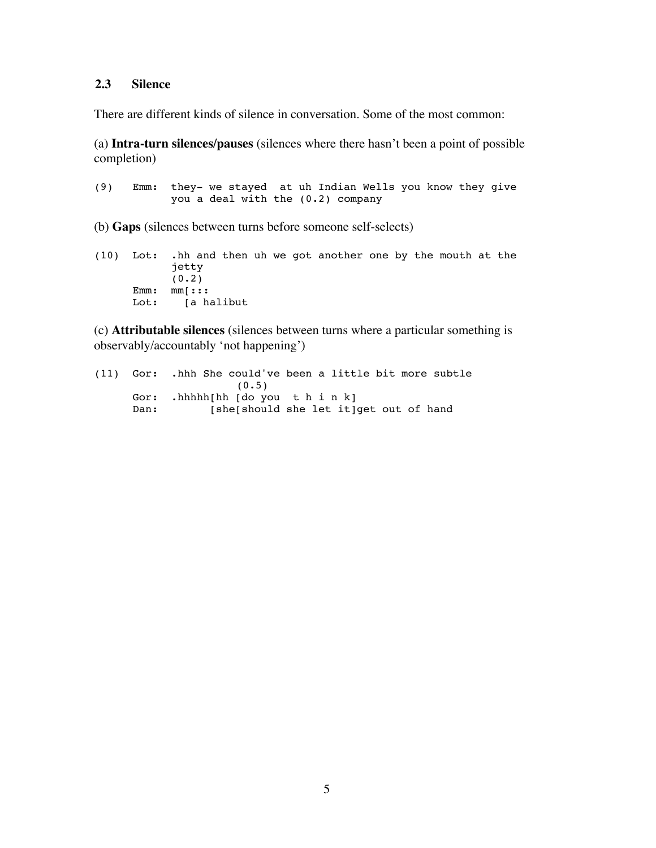### **2.3 Silence**

There are different kinds of silence in conversation. Some of the most common:

(a) **Intra-turn silences/pauses** (silences where there hasn't been a point of possible completion)

(9) Emm: they- we stayed at uh Indian Wells you know they give you a deal with the (0.2) company

(b) **Gaps** (silences between turns before someone self-selects)

(10) Lot: .hh and then uh we got another one by the mouth at the jetty  $(0.2)$ Emm: mm[::: Lot: [a halibut

(c) **Attributable silences** (silences between turns where a particular something is observably/accountably 'not happening')

(11) Gor: .hhh She could've been a little bit more subtle  $(0.5)$ Gor: .hhhhh[hh [do you t h i n k] Dan: [she[should she let it]get out of hand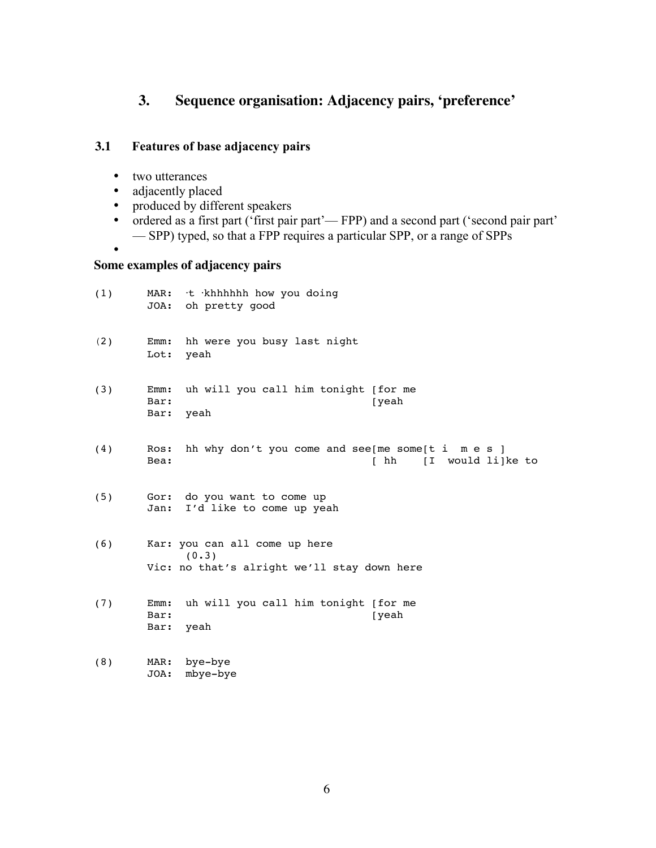# **3. Sequence organisation: Adjacency pairs, 'preference'**

## **3.1 Features of base adjacency pairs**

• two utterances

•

- adjacently placed
- produced by different speakers
- ordered as a first part ('first pair part'— FPP) and a second part ('second pair part' — SPP) typed, so that a FPP requires a particular SPP, or a range of SPPs
- **Some examples of adjacency pairs**

JOA: mbye-bye

| (1) |                      | MAR: t khhhhhh how you doing<br>JOA: oh pretty good                                   |
|-----|----------------------|---------------------------------------------------------------------------------------|
| (2) | Emm:<br>Lot:         | hh were you busy last night<br>yeah                                                   |
| (3) | Emm:<br>Bar:<br>Bar: | uh will you call him tonight [for me<br>[yeah<br>yeah                                 |
| (4) | Ros:<br>Bea:         | hh why don't you come and see [me some [t i m e s ]<br>[ hh [I would li]ke to         |
| (5) |                      | Gor: do you want to come up<br>Jan: I'd like to come up yeah                          |
| (6) |                      | Kar: you can all come up here<br>(0.3)<br>Vic: no that's alright we'll stay down here |
| (7) | Emm:<br>Bar:<br>Bar: | uh will you call him tonight [for me<br>[yeah<br>yeah                                 |
| (8) | MAR:                 | bye-bye                                                                               |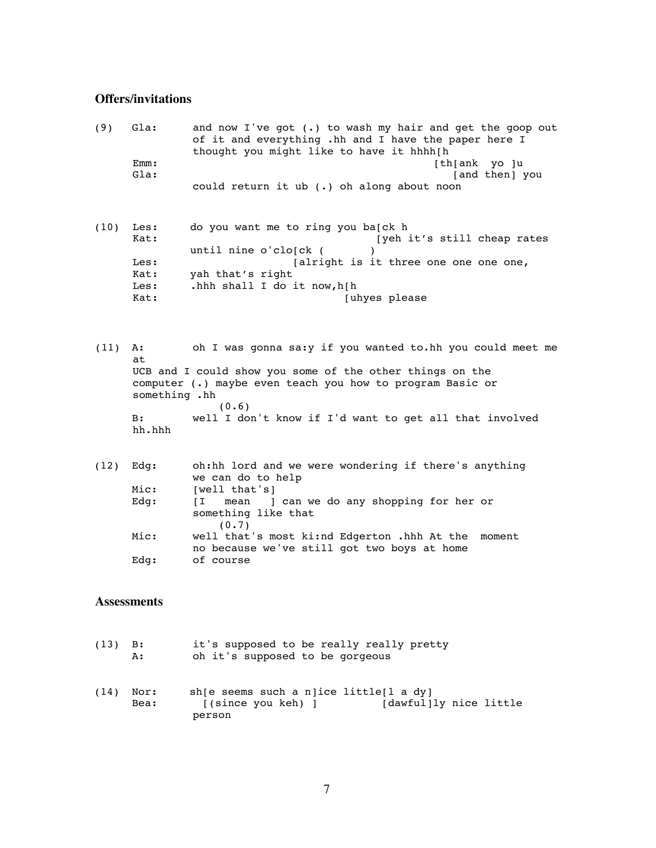# **Offers/invitations**

| (9)  | Gla:<br>Emm:<br>Gla:                         | and now I've got (.) to wash my hair and get the goop out<br>of it and everything .hh and I have the paper here I<br>thought you might like to have it hhhh[h<br>[th[ank yo ]u<br>[and then] you<br>could return it ub $(.)$ oh along about noon       |
|------|----------------------------------------------|--------------------------------------------------------------------------------------------------------------------------------------------------------------------------------------------------------------------------------------------------------|
| (10) | Les:<br>Kat:<br>Les:<br>Kat:<br>Les:<br>Kat: | do you want me to ring you ba[ck h<br>[yeh it's still cheap rates<br>until nine o'clo[ck (<br>[alright is it three one one one one,<br>yah that's right<br>.hhh shall I do it now, h[h<br>[uhyes please                                                |
| (11) | A:<br>at<br>something .hh<br>B:<br>hh.hhh    | oh I was gonna sa: y if you wanted to.hh you could meet me<br>UCB and I could show you some of the other things on the<br>computer (.) maybe even teach you how to program Basic or<br>(0.6)<br>well I don't know if I'd want to get all that involved |
| (12) | Edq:<br>Mic:<br>Edg:<br>Mic:<br>Edg:         | oh:hh lord and we were wondering if there's anything<br>we can do to help<br>[well that's]<br>ſΙ<br>something like that<br>(0.7)<br>well that's most ki:nd Edgerton .hhh At the<br>moment<br>no because we've still got two boys at home<br>of course  |
|      | Assessments                                  |                                                                                                                                                                                                                                                        |
| (13) | B:<br>А:                                     | it's supposed to be really really pretty<br>oh it's supposed to be gorgeous                                                                                                                                                                            |
| (14) | Nor:<br>Bea:                                 | sh [e seems such a n]ice little[l a dy]<br>[(since you keh) ]<br>[dawful]ly nice little<br>person                                                                                                                                                      |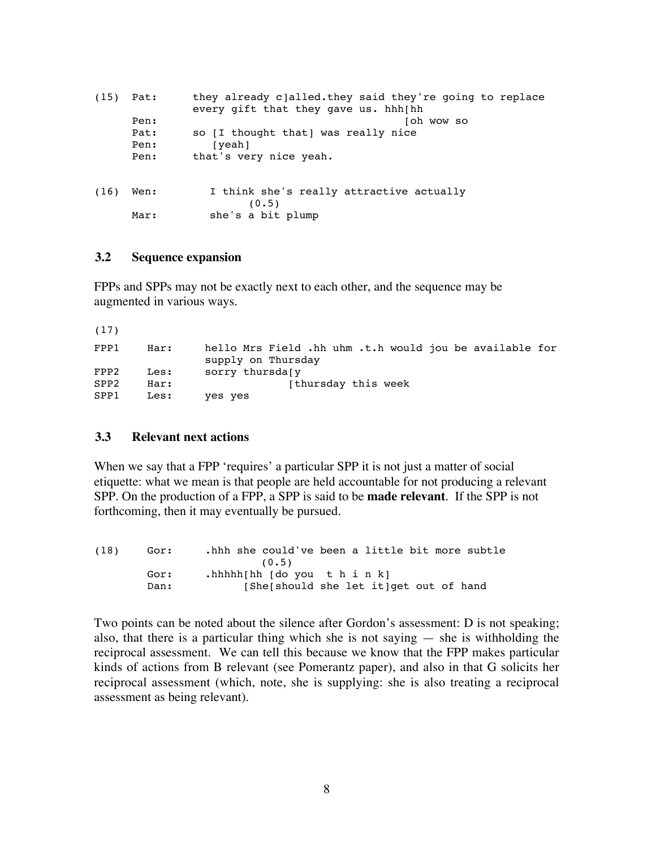| (15) | Pat:                 | they already c]alled.they said they're going to replace<br>every gift that they gave us. hhh[hh |
|------|----------------------|-------------------------------------------------------------------------------------------------|
|      | Pen:                 | oh wow so                                                                                       |
|      | Pat:<br>Pen:<br>Pen: | so [I thought that] was really nice<br>[yeah]<br>that's very nice yeah.                         |
| (16) | Wen:<br>Mar:         | I think she's really attractive actually<br>(0.5)<br>she's a bit plump                          |
|      |                      |                                                                                                 |

### **3.2 Sequence expansion**

FPPs and SPPs may not be exactly next to each other, and the sequence may be augmented in various ways.

| (17)             |      |                                                                               |
|------------------|------|-------------------------------------------------------------------------------|
| FPP1             | Har: | hello Mrs Field .hh uhm .t.h would jou be available for<br>supply on Thursday |
| FPP2             | Les: | sorry thursdaly                                                               |
| SPP <sub>2</sub> | Har: | [thursday this week]                                                          |
| SPP1             | Les: | yes yes                                                                       |

### **3.3 Relevant next actions**

When we say that a FPP 'requires' a particular SPP it is not just a matter of social etiquette: what we mean is that people are held accountable for not producing a relevant SPP. On the production of a FPP, a SPP is said to be **made relevant**. If the SPP is not forthcoming, then it may eventually be pursued.

| (18) | Gor: | .hhh she could've been a little bit more subtle |
|------|------|-------------------------------------------------|
|      |      | (0.5)                                           |
|      | Gor: | .hhhhh[hh [do you t h i n k]                    |
|      | Dan: | [She]should she let it]get out of hand          |

Two points can be noted about the silence after Gordon's assessment: D is not speaking; also, that there is a particular thing which she is not saying  $-$  she is withholding the reciprocal assessment. We can tell this because we know that the FPP makes particular kinds of actions from B relevant (see Pomerantz paper), and also in that G solicits her reciprocal assessment (which, note, she is supplying: she is also treating a reciprocal assessment as being relevant).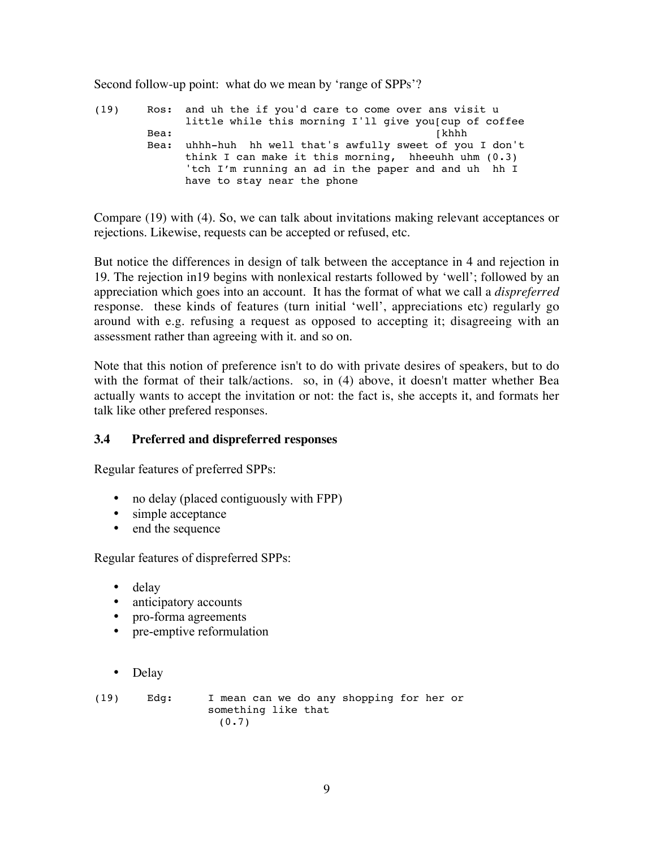Second follow-up point: what do we mean by 'range of SPPs'?

(19) Ros: and uh the if you'd care to come over ans visit u little while this morning I'll give you[cup of coffee Bea: [khhh Bea: uhhh-huh hh well that's awfully sweet of you I don't think I can make it this morning, hheeuhh uhm (0.3) 'tch I'm running an ad in the paper and and uh hh I have to stay near the phone

Compare (19) with (4). So, we can talk about invitations making relevant acceptances or rejections. Likewise, requests can be accepted or refused, etc.

But notice the differences in design of talk between the acceptance in 4 and rejection in 19. The rejection in19 begins with nonlexical restarts followed by 'well'; followed by an appreciation which goes into an account. It has the format of what we call a *dispreferred* response. these kinds of features (turn initial 'well', appreciations etc) regularly go around with e.g. refusing a request as opposed to accepting it; disagreeing with an assessment rather than agreeing with it. and so on.

Note that this notion of preference isn't to do with private desires of speakers, but to do with the format of their talk/actions. so, in (4) above, it doesn't matter whether Bea actually wants to accept the invitation or not: the fact is, she accepts it, and formats her talk like other prefered responses.

### **3.4 Preferred and dispreferred responses**

Regular features of preferred SPPs:

- no delay (placed contiguously with FPP)
- simple acceptance
- end the sequence

Regular features of dispreferred SPPs:

- delay
- anticipatory accounts
- pro-forma agreements
- pre-emptive reformulation
- Delay

(19) Edg: I mean can we do any shopping for her or something like that  $(0.7)$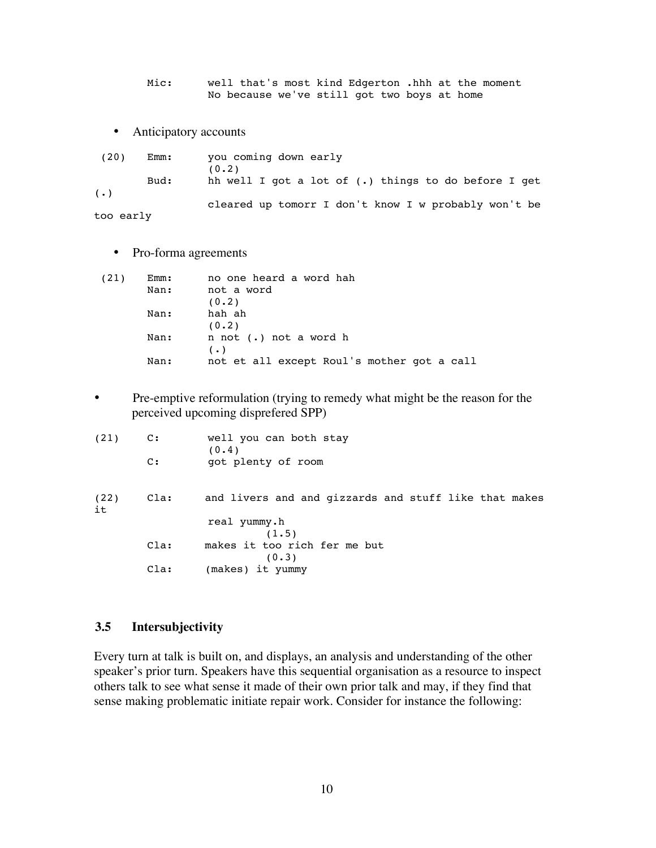Mic: well that's most kind Edgerton .hhh at the moment No because we've still got two boys at home

• Anticipatory accounts

 (20) Emm: you coming down early  $(0.2)$ Bud: hh well I got a lot of (.) things to do before I get  $(\cdot)$  cleared up tomorr I don't know I w probably won't be too early

• Pro-forma agreements

| (21) | Emm: | no one heard a word hah                    |
|------|------|--------------------------------------------|
|      | Nan: | not a word                                 |
|      |      | (0.2)                                      |
|      | Nan: | hah ah                                     |
|      |      | (0.2)                                      |
|      | Nan: | n not (.) not a word h                     |
|      |      | $(\cdot)$                                  |
|      | Nan: | not et all except Roul's mother got a call |

• Pre-emptive reformulation (trying to remedy what might be the reason for the perceived upcoming disprefered SPP)

| (21)       | $\mathbf{c}$ :<br>$\mathbf{C}$ : | well you can both stay<br>(0.4)<br>got plenty of room |
|------------|----------------------------------|-------------------------------------------------------|
|            |                                  |                                                       |
| (22)<br>it | Cla:                             | and livers and and gizzards and stuff like that makes |
|            |                                  | real yummy.h<br>(1.5)                                 |
|            | Cla:                             | makes it too rich fer me but<br>(0.3)                 |
|            | Cla:                             | (makes) it yummy                                      |

### **3.5 Intersubjectivity**

Every turn at talk is built on, and displays, an analysis and understanding of the other speaker's prior turn. Speakers have this sequential organisation as a resource to inspect others talk to see what sense it made of their own prior talk and may, if they find that sense making problematic initiate repair work. Consider for instance the following: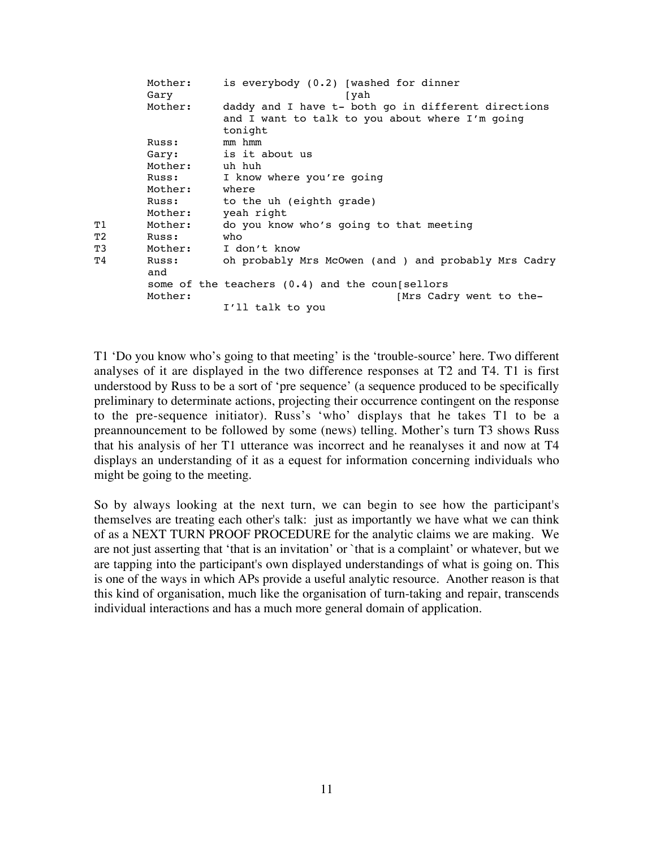|    | Mother:<br>Gary | is everybody (0.2) [washed for dinner<br>[yah                                                          |
|----|-----------------|--------------------------------------------------------------------------------------------------------|
|    | Mother:         | daddy and I have t- both go in different directions<br>and I want to talk to you about where I'm going |
|    |                 | tonight<br>mm hmm                                                                                      |
|    | Russ:           |                                                                                                        |
|    | Gary:           | is it about us                                                                                         |
|    | Mother: uh huh  |                                                                                                        |
|    | Russ:           | I know where you're going                                                                              |
|    | Mother:         | where                                                                                                  |
|    | Russ:           | to the uh (eighth grade)                                                                               |
|    | Mother:         | yeah right                                                                                             |
| Τ1 | Mother:         | do you know who's going to that meeting                                                                |
| T2 | Russ:           | who                                                                                                    |
| T3 | Mother:         | I don't know                                                                                           |
| Τ4 | Russ:<br>and    | oh probably Mrs McOwen (and ) and probably Mrs Cadry                                                   |
|    |                 | some of the teachers $(0.4)$ and the coun sellors                                                      |
|    | Mother:         | [Mrs Cadry went to the-                                                                                |
|    |                 | I'll talk to you                                                                                       |
|    |                 |                                                                                                        |

T1 'Do you know who's going to that meeting' is the 'trouble-source' here. Two different analyses of it are displayed in the two difference responses at T2 and T4. T1 is first understood by Russ to be a sort of 'pre sequence' (a sequence produced to be specifically preliminary to determinate actions, projecting their occurrence contingent on the response to the pre-sequence initiator). Russ's 'who' displays that he takes T1 to be a preannouncement to be followed by some (news) telling. Mother's turn T3 shows Russ that his analysis of her T1 utterance was incorrect and he reanalyses it and now at T4 displays an understanding of it as a equest for information concerning individuals who might be going to the meeting.

So by always looking at the next turn, we can begin to see how the participant's themselves are treating each other's talk: just as importantly we have what we can think of as a NEXT TURN PROOF PROCEDURE for the analytic claims we are making. We are not just asserting that 'that is an invitation' or `that is a complaint' or whatever, but we are tapping into the participant's own displayed understandings of what is going on. This is one of the ways in which APs provide a useful analytic resource. Another reason is that this kind of organisation, much like the organisation of turn-taking and repair, transcends individual interactions and has a much more general domain of application.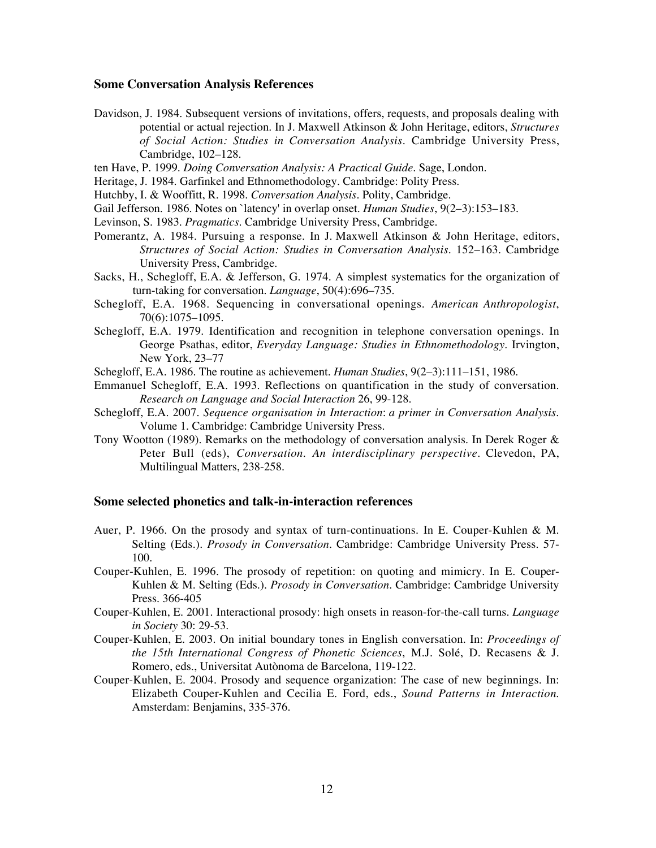#### **Some Conversation Analysis References**

- Davidson, J. 1984. Subsequent versions of invitations, offers, requests, and proposals dealing with potential or actual rejection. In J. Maxwell Atkinson & John Heritage, editors, *Structures of Social Action: Studies in Conversation Analysis*. Cambridge University Press, Cambridge, 102–128.
- ten Have, P. 1999. *Doing Conversation Analysis: A Practical Guide*. Sage, London.
- Heritage, J. 1984. Garfinkel and Ethnomethodology. Cambridge: Polity Press.
- Hutchby, I. & Wooffitt, R. 1998. *Conversation Analysis*. Polity, Cambridge.
- Gail Jefferson. 1986. Notes on `latency' in overlap onset. *Human Studies*, 9(2–3):153–183.
- Levinson, S. 1983. *Pragmatics*. Cambridge University Press, Cambridge.
- Pomerantz, A. 1984. Pursuing a response. In J. Maxwell Atkinson & John Heritage, editors, *Structures of Social Action: Studies in Conversation Analysis*. 152–163. Cambridge University Press, Cambridge.
- Sacks, H., Schegloff, E.A. & Jefferson, G. 1974. A simplest systematics for the organization of turn-taking for conversation. *Language*, 50(4):696–735.
- Schegloff, E.A. 1968. Sequencing in conversational openings. *American Anthropologist*, 70(6):1075–1095.
- Schegloff, E.A. 1979. Identification and recognition in telephone conversation openings. In George Psathas, editor, *Everyday Language: Studies in Ethnomethodology*. Irvington, New York, 23–77
- Schegloff, E.A. 1986. The routine as achievement. *Human Studies*, 9(2–3):111–151, 1986.
- Emmanuel Schegloff, E.A. 1993. Reflections on quantification in the study of conversation. *Research on Language and Social Interaction* 26, 99-128.
- Schegloff, E.A. 2007. *Sequence organisation in Interaction*: *a primer in Conversation Analysis*. Volume 1. Cambridge: Cambridge University Press.
- Tony Wootton (1989). Remarks on the methodology of conversation analysis. In Derek Roger & Peter Bull (eds), *Conversation. An interdisciplinary perspective.* Clevedon, PA, Multilingual Matters, 238-258.

### **Some selected phonetics and talk-in-interaction references**

- Auer, P. 1966. On the prosody and syntax of turn-continuations. In E. Couper-Kuhlen & M. Selting (Eds.). *Prosody in Conversation.* Cambridge: Cambridge University Press. 57- 100.
- Couper-Kuhlen, E. 1996. The prosody of repetition: on quoting and mimicry. In E. Couper-Kuhlen & M. Selting (Eds.). *Prosody in Conversation.* Cambridge: Cambridge University Press. 366-405
- Couper-Kuhlen, E. 2001. Interactional prosody: high onsets in reason-for-the-call turns. *Language in Society* 30: 29-53.
- Couper-Kuhlen, E. 2003. On initial boundary tones in English conversation. In: *Proceedings of the 15th International Congress of Phonetic Sciences*, M.J. Solé, D. Recasens & J. Romero, eds., Universitat Autònoma de Barcelona, 119-122.
- Couper-Kuhlen, E. 2004. Prosody and sequence organization: The case of new beginnings. In: Elizabeth Couper-Kuhlen and Cecilia E. Ford, eds., *Sound Patterns in Interaction*. Amsterdam: Benjamins, 335-376.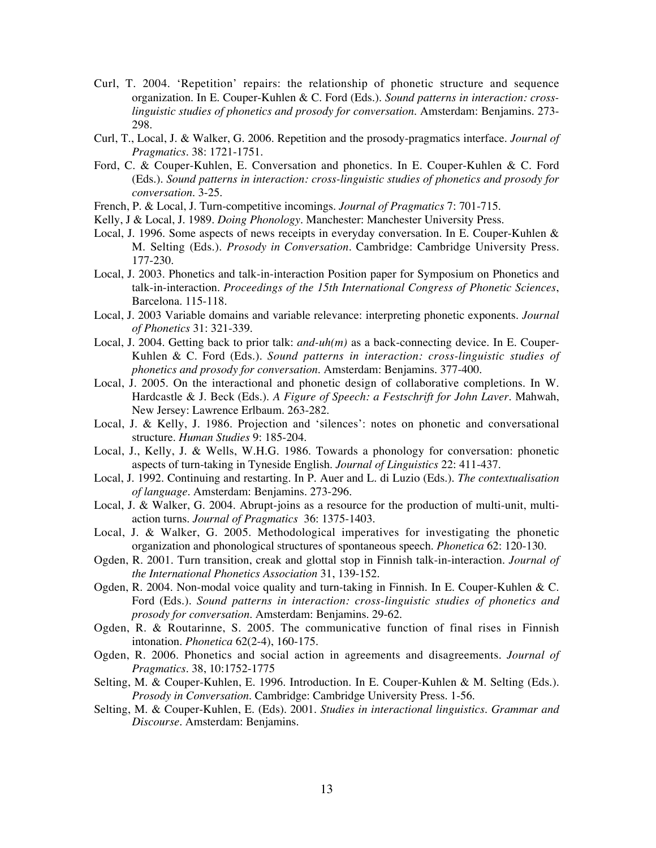- Curl, T. 2004. 'Repetition' repairs: the relationship of phonetic structure and sequence organization. In E. Couper-Kuhlen & C. Ford (Eds.). *Sound patterns in interaction: crosslinguistic studies of phonetics and prosody for conversation*. Amsterdam: Benjamins. 273- 298.
- Curl, T., Local, J. & Walker, G. 2006. Repetition and the prosody-pragmatics interface. *Journal of Pragmatics.* 38: 1721-1751.
- Ford, C. & Couper-Kuhlen, E. Conversation and phonetics. In E. Couper-Kuhlen & C. Ford (Eds.). *Sound patterns in interaction: cross-linguistic studies of phonetics and prosody for conversation*. 3-25.
- French, P. & Local, J. Turn-competitive incomings. *Journal of Pragmatics* 7: 701-715.
- Kelly, J & Local, J. 1989. *Doing Phonology.* Manchester: Manchester University Press.
- Local, J. 1996. Some aspects of news receipts in everyday conversation. In E. Couper-Kuhlen & M. Selting (Eds.). *Prosody in Conversation.* Cambridge: Cambridge University Press. 177-230.
- Local, J. 2003. Phonetics and talk-in-interaction Position paper for Symposium on Phonetics and talk-in-interaction. *Proceedings of the 15th International Congress of Phonetic Sciences*, Barcelona. 115-118.
- Local, J. 2003 Variable domains and variable relevance: interpreting phonetic exponents. *Journal of Phonetics* 31: 321-339.
- Local, J. 2004. Getting back to prior talk: *and-uh(m)* as a back-connecting device. In E. Couper-Kuhlen & C. Ford (Eds.). *Sound patterns in interaction: cross-linguistic studies of phonetics and prosody for conversation*. Amsterdam: Benjamins. 377-400.
- Local, J. 2005. On the interactional and phonetic design of collaborative completions. In W. Hardcastle & J. Beck (Eds.). *A Figure of Speech: a Festschrift for John Laver.* Mahwah, New Jersey: Lawrence Erlbaum. 263-282.
- Local, J. & Kelly, J. 1986. Projection and 'silences': notes on phonetic and conversational structure. *Human Studies* 9: 185-204.
- Local, J., Kelly, J. & Wells, W.H.G. 1986. Towards a phonology for conversation: phonetic aspects of turn-taking in Tyneside English. *Journal of Linguistics* 22: 411-437.
- Local, J. 1992. Continuing and restarting. In P. Auer and L. di Luzio (Eds.). *The contextualisation of language.* Amsterdam: Benjamins. 273-296.
- Local, J. & Walker, G. 2004. Abrupt-joins as a resource for the production of multi-unit, multiaction turns. *Journal of Pragmatics* 36: 1375-1403.
- Local, J. & Walker, G. 2005. Methodological imperatives for investigating the phonetic organization and phonological structures of spontaneous speech. *Phonetica* 62: 120-130.
- Ogden, R. 2001. Turn transition, creak and glottal stop in Finnish talk-in-interaction. *Journal of the International Phonetics Association* 31, 139-152.
- Ogden, R. 2004. Non-modal voice quality and turn-taking in Finnish. In E. Couper-Kuhlen & C. Ford (Eds.). *Sound patterns in interaction: cross-linguistic studies of phonetics and prosody for conversation*. Amsterdam: Benjamins. 29-62.
- Ogden, R. & Routarinne, S. 2005. The communicative function of final rises in Finnish intonation. *Phonetica* 62(2-4), 160-175.
- Ogden, R. 2006. Phonetics and social action in agreements and disagreements. *Journal of Pragmatics.* 38, 10:1752-1775
- Selting, M. & Couper-Kuhlen, E. 1996. Introduction. In E. Couper-Kuhlen & M. Selting (Eds.). *Prosody in Conversation.* Cambridge: Cambridge University Press. 1-56.
- Selting, M. & Couper-Kuhlen, E. (Eds). 2001. *Studies in interactional linguistics. Grammar and Discourse*. Amsterdam: Benjamins.